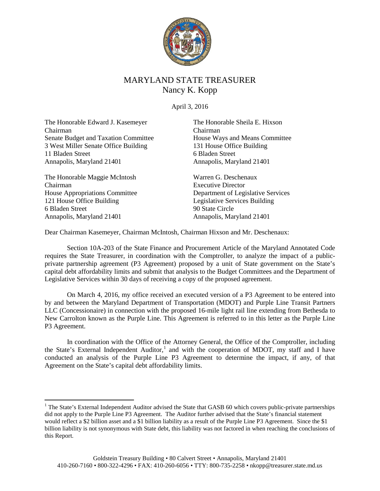

# MARYLAND STATE TREASURER Nancy K. Kopp

April 3, 2016

The Honorable Edward J. Kasemeyer Chairman Senate Budget and Taxation Committee 3 West Miller Senate Office Building 11 Bladen Street Annapolis, Maryland 21401

The Honorable Maggie McIntosh Chairman House Appropriations Committee 121 House Office Building 6 Bladen Street Annapolis, Maryland 21401

The Honorable Sheila E. Hixson Chairman House Ways and Means Committee 131 House Office Building 6 Bladen Street Annapolis, Maryland 21401

Warren G. Deschenaux Executive Director Department of Legislative Services Legislative Services Building 90 State Circle Annapolis, Maryland 21401

Dear Chairman Kasemeyer, Chairman McIntosh, Chairman Hixson and Mr. Deschenaux:

Section 10A-203 of the State Finance and Procurement Article of the Maryland Annotated Code requires the State Treasurer, in coordination with the Comptroller, to analyze the impact of a publicprivate partnership agreement (P3 Agreement) proposed by a unit of State government on the State's capital debt affordability limits and submit that analysis to the Budget Committees and the Department of Legislative Services within 30 days of receiving a copy of the proposed agreement.

On March 4, 2016, my office received an executed version of a P3 Agreement to be entered into by and between the Maryland Department of Transportation (MDOT) and Purple Line Transit Partners LLC (Concessionaire) in connection with the proposed 16-mile light rail line extending from Bethesda to New Carrolton known as the Purple Line. This Agreement is referred to in this letter as the Purple Line P3 Agreement.

In coordination with the Office of the Attorney General, the Office of the Comptroller, including the State's External Independent Auditor,<sup>[1](#page-0-0)</sup> and with the cooperation of MDOT, my staff and I have conducted an analysis of the Purple Line P3 Agreement to determine the impact, if any, of that Agreement on the State's capital debt affordability limits.

<span id="page-0-0"></span> $<sup>1</sup>$  The State's External Independent Auditor advised the State that GASB 60 which covers public-private partnerships</sup> did not apply to the Purple Line P3 Agreement. The Auditor further advised that the State's financial statement would reflect a \$2 billion asset and a \$1 billion liability as a result of the Purple Line P3 Agreement. Since the \$1 billion liability is not synonymous with State debt, this liability was not factored in when reaching the conclusions of this Report.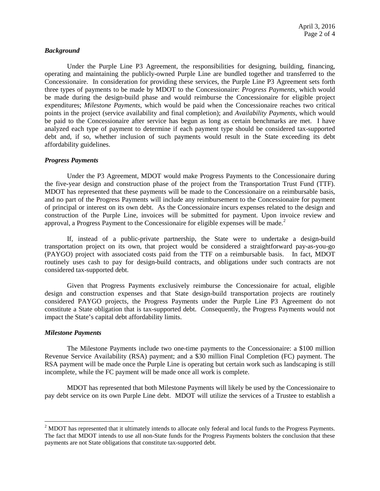### *Background*

Under the Purple Line P3 Agreement, the responsibilities for designing, building, financing, operating and maintaining the publicly-owned Purple Line are bundled together and transferred to the Concessionaire. In consideration for providing these services, the Purple Line P3 Agreement sets forth three types of payments to be made by MDOT to the Concessionaire: *Progress Payments*, which would be made during the design-build phase and would reimburse the Concessionaire for eligible project expenditures; *Milestone Payments*, which would be paid when the Concessionaire reaches two critical points in the project (service availability and final completion); and *Availability Payments*, which would be paid to the Concessionaire after service has begun as long as certain benchmarks are met. I have analyzed each type of payment to determine if each payment type should be considered tax-supported debt and, if so, whether inclusion of such payments would result in the State exceeding its debt affordability guidelines.

#### *Progress Payments*

Under the P3 Agreement, MDOT would make Progress Payments to the Concessionaire during the five-year design and construction phase of the project from the Transportation Trust Fund (TTF). MDOT has represented that these payments will be made to the Concessionaire on a reimbursable basis, and no part of the Progress Payments will include any reimbursement to the Concessionaire for payment of principal or interest on its own debt. As the Concessionaire incurs expenses related to the design and construction of the Purple Line, invoices will be submitted for payment. Upon invoice review and approval, a Progress Payment to the Concessionaire for eligible expenses will be made.<sup>[2](#page-1-0)</sup>

If, instead of a public-private partnership, the State were to undertake a design-build transportation project on its own, that project would be considered a straightforward pay-as-you-go (PAYGO) project with associated costs paid from the TTF on a reimbursable basis. In fact, MDOT routinely uses cash to pay for design-build contracts, and obligations under such contracts are not considered tax-supported debt.

Given that Progress Payments exclusively reimburse the Concessionaire for actual, eligible design and construction expenses and that State design-build transportation projects are routinely considered PAYGO projects, the Progress Payments under the Purple Line P3 Agreement do not constitute a State obligation that is tax-supported debt. Consequently, the Progress Payments would not impact the State's capital debt affordability limits.

#### *Milestone Payments*

The Milestone Payments include two one-time payments to the Concessionaire: a \$100 million Revenue Service Availability (RSA) payment; and a \$30 million Final Completion (FC) payment. The RSA payment will be made once the Purple Line is operating but certain work such as landscaping is still incomplete, while the FC payment will be made once all work is complete.

MDOT has represented that both Milestone Payments will likely be used by the Concessionaire to pay debt service on its own Purple Line debt. MDOT will utilize the services of a Trustee to establish a

<span id="page-1-0"></span><sup>&</sup>lt;sup>2</sup> MDOT has represented that it ultimately intends to allocate only federal and local funds to the Progress Payments. The fact that MDOT intends to use all non-State funds for the Progress Payments bolsters the conclusion that these payments are not State obligations that constitute tax-supported debt.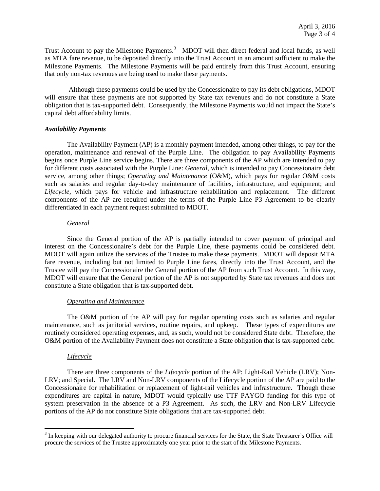Trust Account to pay the Milestone Payments.<sup>[3](#page-2-0)</sup> MDOT will then direct federal and local funds, as well as MTA fare revenue, to be deposited directly into the Trust Account in an amount sufficient to make the Milestone Payments. The Milestone Payments will be paid entirely from this Trust Account, ensuring that only non-tax revenues are being used to make these payments.

Although these payments could be used by the Concessionaire to pay its debt obligations, MDOT will ensure that these payments are not supported by State tax revenues and do not constitute a State obligation that is tax-supported debt. Consequently, the Milestone Payments would not impact the State's capital debt affordability limits.

### *Availability Payments*

The Availability Payment (AP) is a monthly payment intended, among other things, to pay for the operation, maintenance and renewal of the Purple Line. The obligation to pay Availability Payments begins once Purple Line service begins. There are three components of the AP which are intended to pay for different costs associated with the Purple Line: *General*, which is intended to pay Concessionaire debt service, among other things; *Operating and Maintenance* (O&M), which pays for regular O&M costs such as salaries and regular day-to-day maintenance of facilities, infrastructure, and equipment; and *Lifecycle*, which pays for vehicle and infrastructure rehabilitation and replacement. The different components of the AP are required under the terms of the Purple Line P3 Agreement to be clearly differentiated in each payment request submitted to MDOT.

### *General*

Since the General portion of the AP is partially intended to cover payment of principal and interest on the Concessionaire's debt for the Purple Line, these payments could be considered debt. MDOT will again utilize the services of the Trustee to make these payments. MDOT will deposit MTA fare revenue, including but not limited to Purple Line fares, directly into the Trust Account, and the Trustee will pay the Concessionaire the General portion of the AP from such Trust Account. In this way, MDOT will ensure that the General portion of the AP is not supported by State tax revenues and does not constitute a State obligation that is tax-supported debt.

### *Operating and Maintenance*

The O&M portion of the AP will pay for regular operating costs such as salaries and regular maintenance, such as janitorial services, routine repairs, and upkeep. These types of expenditures are routinely considered operating expenses, and, as such, would not be considered State debt. Therefore, the O&M portion of the Availability Payment does not constitute a State obligation that is tax-supported debt.

### *Lifecycle*

There are three components of the *Lifecycle* portion of the AP: Light-Rail Vehicle (LRV); Non-LRV; and Special. The LRV and Non-LRV components of the Lifecycle portion of the AP are paid to the Concessionaire for rehabilitation or replacement of light-rail vehicles and infrastructure. Though these expenditures are capital in nature, MDOT would typically use TTF PAYGO funding for this type of system preservation in the absence of a P3 Agreement. As such, the LRV and Non-LRV Lifecycle portions of the AP do not constitute State obligations that are tax-supported debt.

<span id="page-2-0"></span><sup>&</sup>lt;sup>3</sup> In keeping with our delegated authority to procure financial services for the State, the State Treasurer's Office will procure the services of the Trustee approximately one year prior to the start of the Milestone Payments.